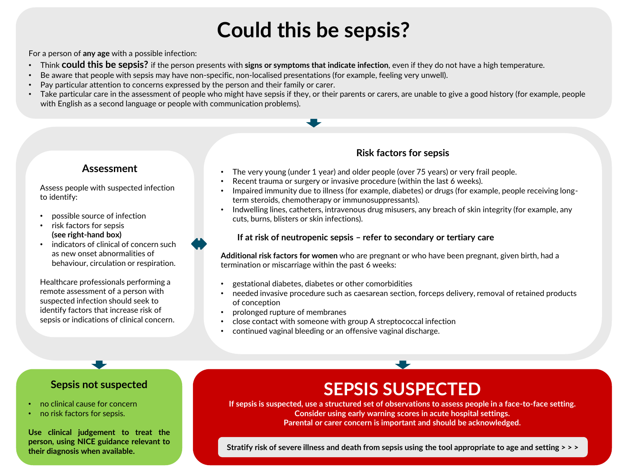# **Could this be sepsis?**

For a person of **any age** with a possible infection:

- Think **could this be sepsis?** if the person presents with **signs or symptoms that indicate infection**, even if they do not have a high temperature.
- Be aware that people with sepsis may have non-specific, non-localised presentations (for example, feeling very unwell).
- Pay particular attention to concerns expressed by the person and their family or carer.
- Take particular care in the assessment of people who might have sepsis if they, or their parents or carers, are unable to give a good history (for example, people with English as a second language or people with communication problems).

#### **Assessment**

Assess people with suspected infection to identify:

- possible source of infection
- risk factors for sepsis **(see right-hand box)**
- indicators of clinical of concern such as new onset abnormalities of behaviour, circulation or respiration.

Healthcare professionals performing a remote assessment of a person with suspected infection should seek to identify factors that increase risk of sepsis or indications of clinical concern.

#### **Risk factors for sepsis**

- The very young (under 1 year) and older people (over 75 years) or very frail people.
- Recent trauma or surgery or invasive procedure (within the last 6 weeks).
- Impaired immunity due to illness (for example, diabetes) or drugs (for example, people receiving longterm steroids, chemotherapy or immunosuppressants).
- Indwelling lines, catheters, intravenous drug misusers, any breach of skin integrity (for example, any cuts, burns, blisters or skin infections).

#### **If at risk of neutropenic sepsis – refer to secondary or tertiary care**

**Additional risk factors for women** who are pregnant or who have been pregnant, given birth, had a termination or miscarriage within the past 6 weeks:

- gestational diabetes, diabetes or other comorbidities
- needed invasive procedure such as caesarean section, forceps delivery, removal of retained products of conception
- prolonged rupture of membranes
- close contact with someone with group A streptococcal infection
- continued vaginal bleeding or an offensive vaginal discharge.

#### **Sepsis not suspected**

- no clinical cause for concern
- no risk factors for sepsis.

**Use clinical judgement to treat the person, using NICE guidance relevant to their diagnosis when available.**

### **SEPSIS SUSPECTED**

**If sepsis is suspected, use a structured set of observations to assess people in a face-to-face setting. Consider using early warning scores in acute hospital settings. Parental or carer concern is important and should be acknowledged.**

**Stratify risk of severe illness and death from sepsis using the tool appropriate to age and setting > > >**